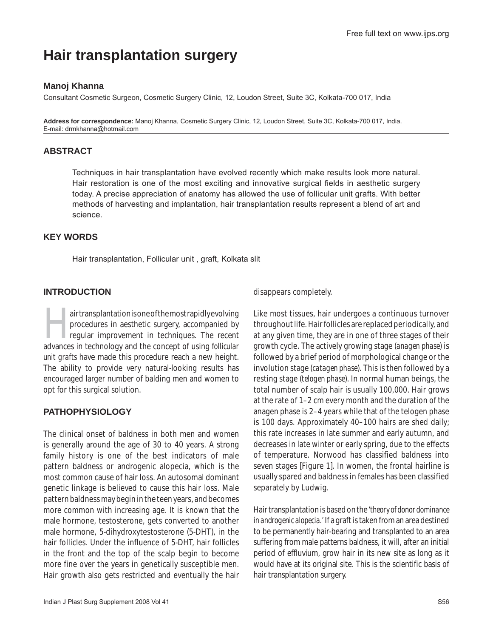# **Hair transplantation surgery**

# **Manoj Khanna**

Consultant Cosmetic Surgeon, Cosmetic Surgery Clinic, 12, Loudon Street, Suite 3C, Kolkata-700 017, India

**Address for correspondence:** Manoj Khanna, Cosmetic Surgery Clinic, 12, Loudon Street, Suite 3C, Kolkata-700 017, India. E-mail: drmkhanna@hotmail.com

# **ABSTRACT**

Techniques in hair transplantation have evolved recently which make results look more natural. Hair restoration is one of the most exciting and innovative surgical fields in aesthetic surgery today. A precise appreciation of anatomy has allowed the use of follicular unit grafts. With better methods of harvesting and implantation, hair transplantation results represent a blend of art and science.

#### **KEY WORDS**

Hair transplantation, Follicular unit , graft, Kolkata slit

#### **INTRODUCTION**

air transplantation is one of the most rapidly evolving<br>procedures in aesthetic surgery, accompanied by<br>regular improvement in techniques. The recent<br>advances in technology and the concent of using folliqular procedures in aesthetic surgery, accompanied by regular improvement in techniques. The recent advances in technology and the concept of using *follicular unit grafts* have made this procedure reach a new height. The ability to provide very natural-looking results has encouraged larger number of balding men and women to opt for this surgical solution.

## **PATHOPHYSIOLOGY**

The clinical onset of baldness in both men and women is generally around the age of 30 to 40 years. A strong family history is one of the best indicators of male pattern baldness or androgenic alopecia, which is the most common cause of hair loss. An autosomal dominant genetic linkage is believed to cause this hair loss. Male pattern baldness may begin in the teen years, and becomes more common with increasing age. It is known that the male hormone, testosterone, gets converted to another male hormone, 5-dihydroxytestosterone (5-DHT), in the hair follicles. Under the influence of 5-DHT, hair follicles in the front and the top of the scalp begin to become more fine over the years in genetically susceptible men. Hair growth also gets restricted and eventually the hair

disappears completely.

Like most tissues, hair undergoes a continuous turnover throughout life. Hair follicles are replaced periodically, and at any given time, they are in one of three stages of their growth cycle. The actively growing stage (*anagen phase*) is followed by a brief period of morphological change or the involution stage (*catagen phase*). This is then followed by a resting stage (*telogen phase*). In normal human beings, the total number of scalp hair is usually 100,000. Hair grows at the rate of 1–2 cm every month and the duration of the anagen phase is 2–4 years while that of the telogen phase is 100 days. Approximately 40–100 hairs are shed daily; this rate increases in late summer and early autumn, and decreases in late winter or early spring, due to the effects of temperature. Norwood has classified baldness into seven stages [Figure 1]. In women, the frontal hairline is usually spared and baldness in females has been classified separately by Ludwig.

Hair transplantation is based on the *'theory of donor dominance in androgenic alopecia.'* If a graft is taken from an area destined to be permanently hair-bearing and transplanted to an area suffering from male patterns baldness, it will, after an initial period of effluvium, grow hair in its new site as long as it would have at its original site. This is the scientific basis of hair transplantation surgery.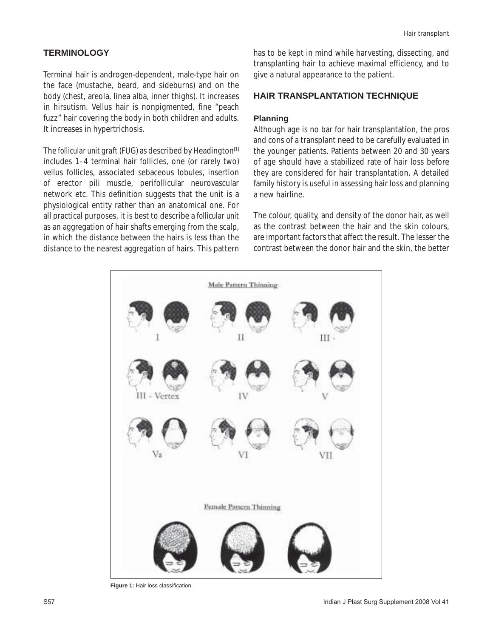## **TERMINOLOGY**

Terminal hair is androgen-dependent, male-type hair on the face (mustache, beard, and sideburns) and on the body (chest, areola, linea alba, inner thighs). It increases in hirsutism. Vellus hair is nonpigmented, fine "peach fuzz" hair covering the body in both children and adults. It increases in hypertrichosis.

The *follicular unit graft* (FUG) as described by Headington<sup>[1]</sup> includes 1–4 terminal hair follicles, one (or rarely two) vellus follicles, associated sebaceous lobules, insertion of erector pili muscle, perifollicular neurovascular network etc. This definition suggests that the unit is a physiological entity rather than an anatomical one. For all practical purposes, it is best to describe a *follicular unit* as an aggregation of hair shafts emerging from the scalp, in which the distance between the hairs is less than the distance to the nearest aggregation of hairs. This pattern

has to be kept in mind while harvesting, dissecting, and transplanting hair to achieve maximal efficiency, and to give a natural appearance to the patient.

#### **HAIR TRANSPLANTATION TECHNIQUE**

#### **Planning**

Although age is no bar for hair transplantation, the pros and cons of a transplant need to be carefully evaluated in the younger patients. Patients between 20 and 30 years of age should have a stabilized rate of hair loss before they are considered for hair transplantation. A detailed family history is useful in assessing hair loss and planning a new hairline.

The colour, quality, and density of the donor hair, as well as the contrast between the hair and the skin colours, are important factors that affect the result. The lesser the contrast between the donor hair and the skin, the better



**Figure 1: Hair loss classification**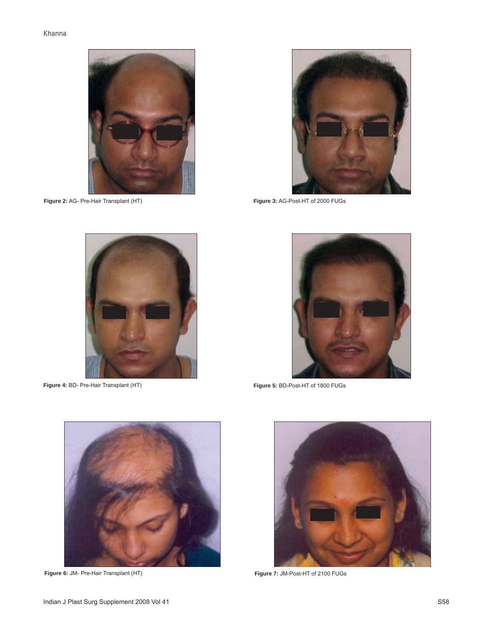#### Khanna



**Figure 2:** AG- Pre-Hair Transplant (HT)



**Figure 4:** BD- Pre-Hair Transplant (HT) **Figure 5:** BD-Post-HT of 1800 FUGs



**Figure 3:** AG-Post-HT of 2000 FUGs





**Figure 6:** JM- Pre-Hair Transplant (HT) **Figure 7:** JM-Post-HT of 2100 FUGs

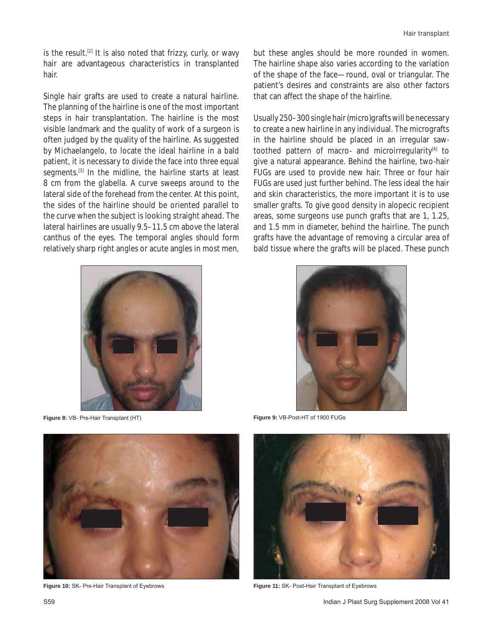is the result.<sup>[2]</sup> It is also noted that frizzy, curly, or wavy hair are advantageous characteristics in transplanted hair.

Single hair grafts are used to create a natural hairline. The planning of the hairline is one of the most important steps in hair transplantation. The hairline is the most visible landmark and the quality of work of a surgeon is often judged by the quality of the hairline. As suggested by Michaelangelo, to locate the ideal hairline in a bald patient, it is necessary to divide the face into three equal segments.<sup>[3]</sup> In the midline, the hairline starts at least 8 cm from the glabella. A curve sweeps around to the lateral side of the forehead from the center. At this point, the sides of the hairline should be oriented parallel to the curve when the subject is looking straight ahead. The lateral hairlines are usually 9.5–11.5 cm above the lateral canthus of the eyes. The temporal angles should form relatively sharp right angles or acute angles in most men,



**Figure 8:** VB- Pre-Hair Transplant (HT)



**Figure 10:** SK- Pre-Hair Transplant of Eyebrows

but these angles should be more rounded in women. The hairline shape also varies according to the variation of the shape of the face—round, oval or triangular. The patient's desires and constraints are also other factors that can affect the shape of the hairline.

Usually 250–300 single hair (micro)grafts will be necessary to create a new hairline in any individual. The micrografts in the hairline should be placed in an irregular sawtoothed pattern of macro- and microirregularity<sup>[4]</sup> to give a natural appearance. Behind the hairline, two-hair FUGs are used to provide new hair. Three or four hair FUGs are used just further behind. The less ideal the hair and skin characteristics, the more important it is to use smaller grafts. To give good density in alopecic recipient areas, some surgeons use punch grafts that are 1, 1.25, and 1.5 mm in diameter, behind the hairline. The punch grafts have the advantage of removing a circular area of bald tissue where the grafts will be placed. These punch



**Figure 9:** VB-Post-HT of 1900 FUGs



**Figure 11:** SK- Post-Hair Transplant of Eyebrows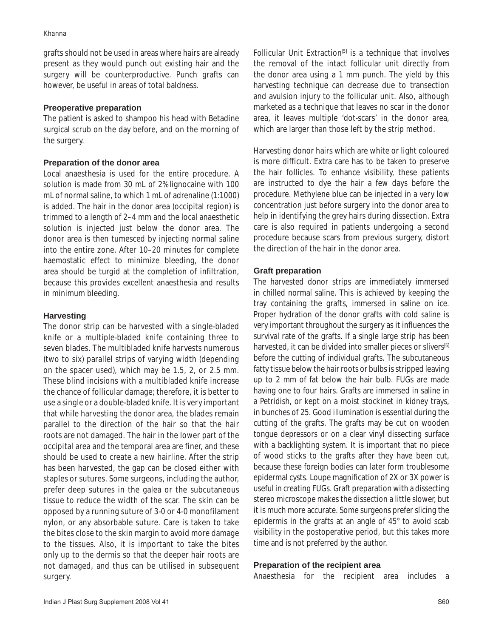grafts should not be used in areas where hairs are already present as they would punch out existing hair and the surgery will be counterproductive. Punch grafts can however, be useful in areas of total baldness.

#### **Preoperative preparation**

The patient is asked to shampoo his head with Betadine surgical scrub on the day before, and on the morning of the surgery.

#### **Preparation of the donor area**

Local anaesthesia is used for the entire procedure. A solution is made from 30 mL of 2% lignocaine with 100 mL of normal saline, to which 1 mL of adrenaline (1:1000) is added. The hair in the donor area (occipital region) is trimmed to a length of 2–4 mm and the local anaesthetic solution is injected just below the donor area. The donor area is then tumesced by injecting normal saline into the entire zone. After 10–20 minutes for complete haemostatic effect to minimize bleeding, the donor area should be turgid at the completion of infiltration, because this provides excellent anaesthesia and results in minimum bleeding.

#### **Harvesting**

The donor strip can be harvested with a single-bladed knife or a multiple-bladed knife containing three to seven blades. The multibladed knife harvests numerous (two to six) parallel strips of varying width (depending on the spacer used), which may be 1.5, 2, or 2.5 mm. These blind incisions with a multibladed knife increase the chance of follicular damage; therefore, it is better to use a single or a double-bladed knife. It is very important that while harvesting the donor area, the blades remain parallel to the direction of the hair so that the hair roots are not damaged. The hair in the lower part of the occipital area and the temporal area are finer, and these should be used to create a new hairline. After the strip has been harvested, the gap can be closed either with staples or sutures. Some surgeons, including the author, prefer deep sutures in the galea or the subcutaneous tissue to reduce the width of the scar. The skin can be opposed by a running suture of 3-0 or 4-0 monofilament nylon, or any absorbable suture. Care is taken to take the bites close to the skin margin to avoid more damage to the tissues. Also, it is important to take the bites only up to the dermis so that the deeper hair roots are not damaged, and thus can be utilised in subsequent surgery.

Follicular Unit Extraction<sup>[5]</sup> is a technique that involves the removal of the intact follicular unit directly from the donor area using a 1 mm punch. The yield by this harvesting technique can decrease due to transection and avulsion injury to the follicular unit. Also, although marketed as a technique that leaves no scar in the donor area, it leaves multiple 'dot-scars' in the donor area, which are larger than those left by the strip method.

Harvesting donor hairs which are white or light coloured is more difficult. Extra care has to be taken to preserve the hair follicles. To enhance visibility, these patients are instructed to dye the hair a few days before the procedure. Methylene blue can be injected in a very low concentration just before surgery into the donor area to help in identifying the grey hairs during dissection. Extra care is also required in patients undergoing a second procedure because scars from previous surgery, distort the direction of the hair in the donor area.

#### **Graft preparation**

The harvested donor strips are immediately immersed in chilled normal saline. This is achieved by keeping the tray containing the grafts, immersed in saline on ice. Proper hydration of the donor grafts with cold saline is very important throughout the surgery as it influences the survival rate of the grafts. If a single large strip has been harvested, it can be divided into smaller pieces or slivers<sup>[6]</sup> before the cutting of individual grafts. The subcutaneous fatty tissue below the hair roots or bulbs is stripped leaving up to 2 mm of fat below the hair bulb. FUGs are made having one to four hairs. Grafts are immersed in saline in a Petridish, or kept on a moist stockinet in kidney trays, in bunches of 25. Good illumination is essential during the cutting of the grafts. The grafts may be cut on wooden tongue depressors or on a clear vinyl dissecting surface with a backlighting system. It is important that no piece of wood sticks to the grafts after they have been cut, because these foreign bodies can later form troublesome epidermal cysts. Loupe magnification of 2X or 3X power is useful in creating FUGs. Graft preparation with a dissecting stereo microscope makes the dissection a little slower, but it is much more accurate. Some surgeons prefer slicing the epidermis in the grafts at an angle of 45° to avoid scab visibility in the postoperative period, but this takes more time and is not preferred by the author.

#### **Preparation of the recipient area**

Anaesthesia for the recipient area includes a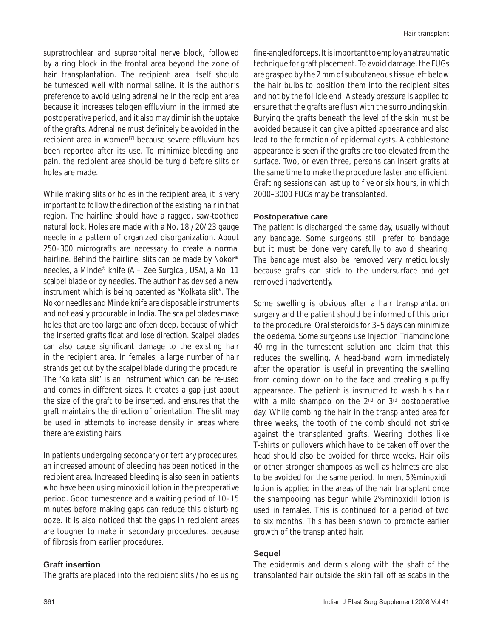supratrochlear and supraorbital nerve block, followed by a ring block in the frontal area beyond the zone of hair transplantation. The recipient area itself should be tumesced well with normal saline. It is the author's preference to avoid using adrenaline in the recipient area because it increases telogen effluvium in the immediate postoperative period, and it also may diminish the uptake of the grafts. Adrenaline must definitely be avoided in the recipient area in women<sup>[7]</sup> because severe effluvium has been reported after its use. To minimize bleeding and pain, the recipient area should be turgid before slits or holes are made.

While making slits or holes in the recipient area, it is very important to follow the direction of the existing hair in that region. The hairline should have a ragged, saw-toothed natural look. Holes are made with a No. 18 / 20/ 23 gauge needle in a pattern of organized disorganization. About 250–300 micrografts are necessary to create a normal hairline. Behind the hairline, slits can be made by Nokor® needles, a Minde® knife (A – Zee Surgical, USA), a No. 11 scalpel blade or by needles. The author has devised a new instrument which is being patented as "Kolkata slit". The Nokor needles and Minde knife are disposable instruments and not easily procurable in India. The scalpel blades make holes that are too large and often deep, because of which the inserted grafts float and lose direction. Scalpel blades can also cause significant damage to the existing hair in the recipient area. In females, a large number of hair strands get cut by the scalpel blade during the procedure. The 'Kolkata slit' is an instrument which can be re-used and comes in different sizes. It creates a gap just about the size of the graft to be inserted, and ensures that the graft maintains the direction of orientation. The slit may be used in attempts to increase density in areas where there are existing hairs.

In patients undergoing secondary or tertiary procedures, an increased amount of bleeding has been noticed in the recipient area. Increased bleeding is also seen in patients who have been using minoxidil lotion in the preoperative period. Good tumescence and a waiting period of 10–15 minutes before making gaps can reduce this disturbing ooze. It is also noticed that the gaps in recipient areas are tougher to make in secondary procedures, because of fibrosis from earlier procedures.

#### **Graft insertion**

The grafts are placed into the recipient slits / holes using

fine-angled forceps. It is important to employ an atraumatic technique for graft placement. To avoid damage, the FUGs are grasped by the 2 mm of subcutaneous tissue left below the hair bulbs to position them into the recipient sites and not by the follicle end. A steady pressure is applied to ensure that the grafts are flush with the surrounding skin. Burying the grafts beneath the level of the skin must be avoided because it can give a pitted appearance and also lead to the formation of epidermal cysts. A cobblestone appearance is seen if the grafts are too elevated from the surface. Two, or even three, persons can insert grafts at the same time to make the procedure faster and efficient. Grafting sessions can last up to five or six hours, in which 2000–3000 FUGs may be transplanted.

#### **Postoperative care**

The patient is discharged the same day, usually without any bandage. Some surgeons still prefer to bandage but it must be done very carefully to avoid shearing. The bandage must also be removed very meticulously because grafts can stick to the undersurface and get removed inadvertently.

Some swelling is obvious after a hair transplantation surgery and the patient should be informed of this prior to the procedure. Oral steroids for 3–5 days can minimize the oedema. Some surgeons use Injection Triamcinolone 40 mg in the tumescent solution and claim that this reduces the swelling. A head-band worn immediately after the operation is useful in preventing the swelling from coming down on to the face and creating a puffy appearance. The patient is instructed to wash his hair with a mild shampoo on the  $2^{nd}$  or  $3^{rd}$  postoperative day. While combing the hair in the transplanted area for three weeks, the tooth of the comb should not strike against the transplanted grafts. Wearing clothes like T-shirts or pullovers which have to be taken off over the head should also be avoided for three weeks. Hair oils or other stronger shampoos as well as helmets are also to be avoided for the same period. In men, 5% minoxidil lotion is applied in the areas of the hair transplant once the shampooing has begun while 2% minoxidil lotion is used in females. This is continued for a period of two to six months. This has been shown to promote earlier growth of the transplanted hair.

#### **Sequel**

The epidermis and dermis along with the shaft of the transplanted hair outside the skin fall off as scabs in the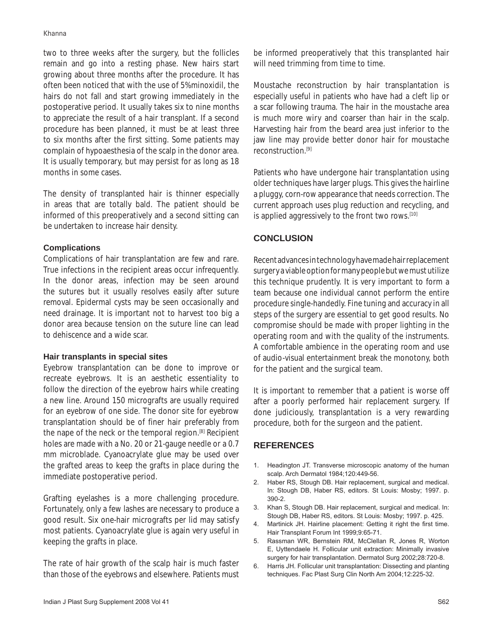#### Khanna

two to three weeks after the surgery, but the follicles remain and go into a resting phase. New hairs start growing about three months after the procedure. It has often been noticed that with the use of 5% minoxidil, the hairs do not fall and start growing immediately in the postoperative period. It usually takes six to nine months to appreciate the result of a hair transplant. If a second procedure has been planned, it must be at least three to six months after the first sitting. Some patients may complain of hypoaesthesia of the scalp in the donor area. It is usually temporary, but may persist for as long as 18 months in some cases.

The density of transplanted hair is thinner especially in areas that are totally bald. The patient should be informed of this preoperatively and a second sitting can be undertaken to increase hair density.

#### **Complications**

Complications of hair transplantation are few and rare. True infections in the recipient areas occur infrequently. In the donor areas, infection may be seen around the sutures but it usually resolves easily after suture removal. Epidermal cysts may be seen occasionally and need drainage. It is important not to harvest too big a donor area because tension on the suture line can lead to dehiscence and a wide scar.

#### **Hair transplants in special sites**

Eyebrow transplantation can be done to improve or recreate eyebrows. It is an aesthetic essentiality to follow the direction of the eyebrow hairs while creating a new line. Around 150 micrografts are usually required for an eyebrow of one side. The donor site for eyebrow transplantation should be of finer hair preferably from the nape of the neck or the temporal region.[8] Recipient holes are made with a No. 20 or 21-gauge needle or a 0.7 mm microblade. Cyanoacrylate glue may be used over the grafted areas to keep the grafts in place during the immediate postoperative period.

Grafting eyelashes is a more challenging procedure. Fortunately, only a few lashes are necessary to produce a good result. Six one-hair micrografts per lid may satisfy most patients. Cyanoacrylate glue is again very useful in keeping the grafts in place.

The rate of hair growth of the scalp hair is much faster than those of the eyebrows and elsewhere. Patients must be informed preoperatively that this transplanted hair will need trimming from time to time.

Moustache reconstruction by hair transplantation is especially useful in patients who have had a cleft lip or a scar following trauma. The hair in the moustache area is much more wiry and coarser than hair in the scalp. Harvesting hair from the beard area just inferior to the jaw line may provide better donor hair for moustache reconstruction.[9]

Patients who have undergone hair transplantation using older techniques have larger plugs. This gives the hairline a pluggy, corn-row appearance that needs correction. The current approach uses plug reduction and recycling, and is applied aggressively to the front two rows.<sup>[10]</sup>

## **CONCLUSION**

Recent advances in technology have made hair replacement surgery a viable option for many people but we must utilize this technique prudently. It is very important to form a team because one individual cannot perform the entire procedure single-handedly. Fine tuning and accuracy in all steps of the surgery are essential to get good results. No compromise should be made with proper lighting in the operating room and with the quality of the instruments. A comfortable ambience in the operating room and use of audio-visual entertainment break the monotony, both for the patient and the surgical team.

It is important to remember that a patient is worse off after a poorly performed hair replacement surgery. If done judiciously, transplantation is a very rewarding procedure, both for the surgeon and the patient.

#### **REFERENCES**

- 1. Headington JT. Transverse microscopic anatomy of the human scalp. Arch Dermatol 1984;120:449-56.
- 2. Haber RS, Stough DB. Hair replacement, surgical and medical. In: Stough DB, Haber RS, editors. St Louis: Mosby; 1997. p. 390-2.
- 3. Khan S, Stough DB. Hair replacement, surgical and medical. In: Stough DB, Haber RS, editors. St Louis: Mosby; 1997. p. 425.
- 4. Martinick JH. Hairline placement: Getting it right the first time. Hair Transplant Forum Int 1999;9:65-71.
- 5. Rassman WR, Bernstein RM, McClellan R, Jones R, Worton E, Uyttendaele H. Follicular unit extraction: Minimally invasive surgery for hair transplantation. Dermatol Surg 2002;28:720-8.
- 6. Harris JH. Follicular unit transplantation: Dissecting and planting techniques. Fac Plast Surg Clin North Am 2004;12:225-32.